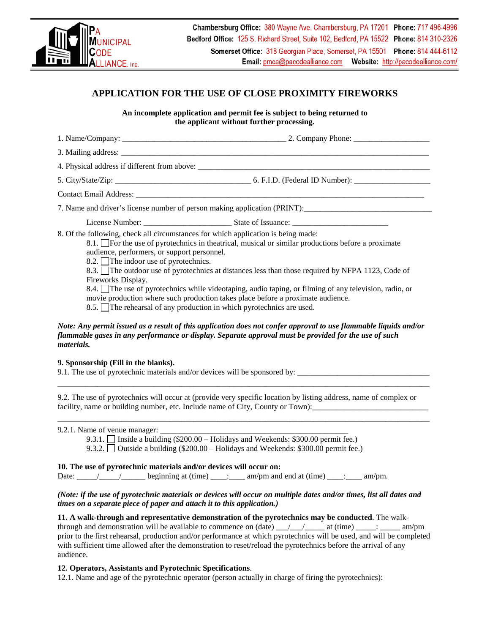

# **APPLICATION FOR THE USE OF CLOSE PROXIMITY FIREWORKS**

**An incomplete application and permit fee is subject to being returned to the applicant without further processing.**

|                                                                                                                                                                                                | 4. Physical address if different from above:                                                                                                                                                                                                                                                                    |
|------------------------------------------------------------------------------------------------------------------------------------------------------------------------------------------------|-----------------------------------------------------------------------------------------------------------------------------------------------------------------------------------------------------------------------------------------------------------------------------------------------------------------|
|                                                                                                                                                                                                |                                                                                                                                                                                                                                                                                                                 |
|                                                                                                                                                                                                |                                                                                                                                                                                                                                                                                                                 |
|                                                                                                                                                                                                |                                                                                                                                                                                                                                                                                                                 |
|                                                                                                                                                                                                |                                                                                                                                                                                                                                                                                                                 |
| 8. Of the following, check all circumstances for which application is being made:<br>audience, performers, or support personnel.<br>8.2. The indoor use of pyrotechnics.<br>Fireworks Display. | 8.1. For the use of pyrotechnics in the atrical, musical or similar productions before a proximate<br>8.3. The outdoor use of pyrotechnics at distances less than those required by NFPA 1123, Code of<br>8.4. The use of pyrotechnics while videotaping, audio taping, or filming of any television, radio, or |
|                                                                                                                                                                                                | movie production where such production takes place before a proximate audience.                                                                                                                                                                                                                                 |

8.5.  $\Box$  The rehearsal of any production in which pyrotechnics are used.

### *Note: Any permit issued as a result of this application does not confer approval to use flammable liquids and/or flammable gases in any performance or display. Separate approval must be provided for the use of such materials.*

#### **9. Sponsorship (Fill in the blanks).**

9.1. The use of pyrotechnic materials and/or devices will be sponsored by:

9.2. The use of pyrotechnics will occur at (provide very specific location by listing address, name of complex or facility, name or building number, etc. Include name of City, County or Town):

\_\_\_\_\_\_\_\_\_\_\_\_\_\_\_\_\_\_\_\_\_\_\_\_\_\_\_\_\_\_\_\_\_\_\_\_\_\_\_\_\_\_\_\_\_\_\_\_\_\_\_\_\_\_\_\_\_\_\_\_\_\_\_\_\_\_\_\_\_\_\_\_\_\_\_\_\_\_\_\_\_\_\_\_\_\_\_\_\_\_\_\_\_

\_\_\_\_\_\_\_\_\_\_\_\_\_\_\_\_\_\_\_\_\_\_\_\_\_\_\_\_\_\_\_\_\_\_\_\_\_\_\_\_\_\_\_\_\_\_\_\_\_\_\_\_\_\_\_\_\_\_\_\_\_\_\_\_\_\_\_\_\_\_\_\_\_\_\_\_\_\_\_\_\_\_\_\_\_\_\_\_\_\_\_\_\_

| 9.2.1. Name of venue manager: |  |
|-------------------------------|--|
|                               |  |

9.3.1. Inside a building (\$200.00 – Holidays and Weekends: \$300.00 permit fee.)

9.3.2. Outside a building (\$200.00 – Holidays and Weekends: \$300.00 permit fee.)

#### **10. The use of pyrotechnic materials and/or devices will occur on:**

Date:  $\frac{1}{\frac{1}{2}}$  beginning at (time)  $\frac{1}{\frac{1}{2}}$  am/pm and end at (time)  $\frac{1}{\frac{1}{2}}$  am/pm.

## *(Note: if the use of pyrotechnic materials or devices will occur on multiple dates and/or times, list all dates and times on a separate piece of paper and attach it to this application.)*

**11. A walk-through and representative demonstration of the pyrotechnics may be conducted**. The walkthrough and demonstration will be available to commence on  $(data)$  \_\_\_/\_\_\_/\_\_\_\_\_ at  $(time)$  \_\_\_\_: \_\_\_\_\_ am/pm prior to the first rehearsal, production and/or performance at which pyrotechnics will be used, and will be completed with sufficient time allowed after the demonstration to reset/reload the pyrotechnics before the arrival of any audience.

## **12. Operators, Assistants and Pyrotechnic Specifications**.

12.1. Name and age of the pyrotechnic operator (person actually in charge of firing the pyrotechnics):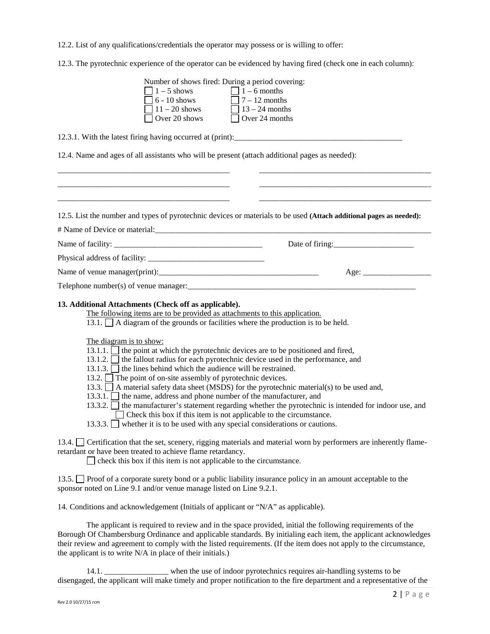12.2. List of any qualifications/credentials the operator may possess or is willing to offer:

12.3. The pyrotechnic experience of the operator can be evidenced by having fired (check one in each column):

| Number of shows fired: During a period covering:                                                                                                                                                                                             |
|----------------------------------------------------------------------------------------------------------------------------------------------------------------------------------------------------------------------------------------------|
| $\begin{array}{ c c c c }\n\hline\n1-5 \text{ shows} & \quad \text{I} - 6 \text{ months} \\ \hline\n6-10 \text{ shows} & \quad \text{I} - 12 \text{ months} \\ \hline\n11-20 \text{ shows} & \quad \text{I} 3-24 \text{ month}\n\end{array}$ |
|                                                                                                                                                                                                                                              |
| $\Box$ 13 – 24 months                                                                                                                                                                                                                        |
| Over 20 shows<br>$\Box$ Over 24 months                                                                                                                                                                                                       |
|                                                                                                                                                                                                                                              |
| 12.4. Name and ages of all assistants who will be present (attach additional pages as needed):                                                                                                                                               |
|                                                                                                                                                                                                                                              |
|                                                                                                                                                                                                                                              |
|                                                                                                                                                                                                                                              |
|                                                                                                                                                                                                                                              |
| 12.5. List the number and types of pyrotechnic devices or materials to be used (Attach additional pages as needed):                                                                                                                          |
|                                                                                                                                                                                                                                              |
|                                                                                                                                                                                                                                              |
| Date of firing:                                                                                                                                                                                                                              |
|                                                                                                                                                                                                                                              |
| Age:                                                                                                                                                                                                                                         |
|                                                                                                                                                                                                                                              |
|                                                                                                                                                                                                                                              |
| 13. Additional Attachments (Check off as applicable).                                                                                                                                                                                        |
| The following items are to be provided as attachments to this application.                                                                                                                                                                   |
| 13.1. $\Box$ A diagram of the grounds or facilities where the production is to be held.                                                                                                                                                      |
| The diagram is to show:                                                                                                                                                                                                                      |
| 13.1.1. $\Box$ the point at which the pyrotechnic devices are to be positioned and fired,                                                                                                                                                    |
| 13.1.2. $\Box$ the fallout radius for each pyrotechnic device used in the performance, and                                                                                                                                                   |
| 13.1.3. $\Box$ the lines behind which the audience will be restrained.                                                                                                                                                                       |
| 13.2. The point of on-site assembly of pyrotechnic devices.                                                                                                                                                                                  |
| 13.3. A material safety data sheet (MSDS) for the pyrotechnic material(s) to be used and,                                                                                                                                                    |
| 13.3.1. $\Box$ the name, address and phone number of the manufacturer, and                                                                                                                                                                   |
| 13.3.2. The manufacturer's statement regarding whether the pyrotechnic is intended for indoor use, and                                                                                                                                       |
| Check this box if this item is not applicable to the circumstance.                                                                                                                                                                           |

13.3.3. whether it is to be used with any special considerations or cautions.

13.4. Certification that the set, scenery, rigging materials and material worn by performers are inherently flameretardant or have been treated to achieve flame retardancy.

 $\Box$  check this box if this item is not applicable to the circumstance.

13.5. Proof of a corporate surety bond or a public liability insurance policy in an amount acceptable to the sponsor noted on Line 9.1 and/or venue manage listed on Line 9.2.1.

14. Conditions and acknowledgement (Initials of applicant or "N/A" as applicable).

The applicant is required to review and in the space provided, initial the following requirements of the Borough Of Chambersburg Ordinance and applicable standards. By initialing each item, the applicant acknowledges their review and agreement to comply with the listed requirements. (If the item does not apply to the circumstance, the applicant is to write N/A in place of their initials.)

14.1. \_\_\_\_\_\_\_\_\_\_\_\_\_\_\_\_ when the use of indoor pyrotechnics requires air-handling systems to be disengaged, the applicant will make timely and proper notification to the fire department and a representative of the